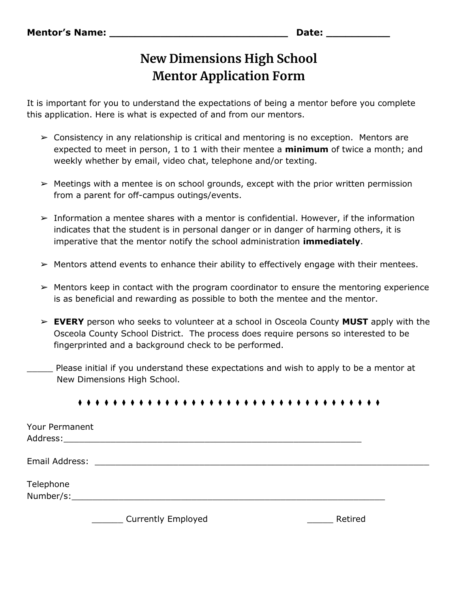## **New Dimensions High School Mentor Application Form**

It is important for you to understand the expectations of being a mentor before you complete this application. Here is what is expected of and from our mentors.

- $\geq$  Consistency in any relationship is critical and mentoring is no exception. Mentors are expected to meet in person, 1 to 1 with their mentee a **minimum** of twice a month; and weekly whether by email, video chat, telephone and/or texting.
- $\triangleright$  Meetings with a mentee is on school grounds, except with the prior written permission from a parent for off-campus outings/events.
- $\triangleright$  Information a mentee shares with a mentor is confidential. However, if the information indicates that the student is in personal danger or in danger of harming others, it is imperative that the mentor notify the school administration **immediately**.
- $\triangleright$  Mentors attend events to enhance their ability to effectively engage with their mentees.
- $\triangleright$  Mentors keep in contact with the program coordinator to ensure the mentoring experience is as beneficial and rewarding as possible to both the mentee and the mentor.
- ➢ **EVERY** person who seeks to volunteer at a school in Osceola County **MUST** apply with the Osceola County School District. The process does require persons so interested to be fingerprinted and a background check to be performed.
- Please initial if you understand these expectations and wish to apply to be a mentor at New Dimensions High School.

## ⧫ ⧫ ⧫ ⧫ ⧫ ⧫ ⧫ ⧫ ⧫ ⧫ ⧫ ⧫ ⧫ ⧫ ⧫ ⧫ ⧫ ⧫ ⧫ ⧫ ⧫ ⧫ ⧫ ⧫ ⧫ ⧫ ⧫ ⧫ ⧫ ⧫ ⧫ ⧫ ⧫ ⧫ ⧫

| Your Permanent |                                                                                                                                                                                                                                |         |  |
|----------------|--------------------------------------------------------------------------------------------------------------------------------------------------------------------------------------------------------------------------------|---------|--|
| Email Address: |                                                                                                                                                                                                                                |         |  |
| Telephone      | Number/s: when the contract of the contract of the contract of the contract of the contract of the contract of the contract of the contract of the contract of the contract of the contract of the contract of the contract of |         |  |
|                | <b>Currently Employed</b>                                                                                                                                                                                                      | Retired |  |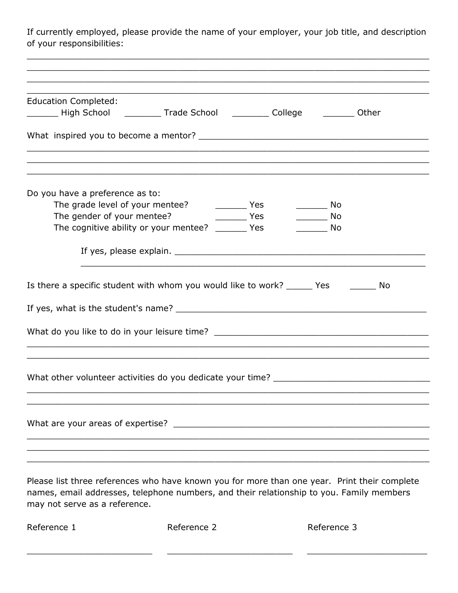If currently employed, please provide the name of your employer, your job title, and description of your responsibilities:

| <b>Education Completed:</b>                                                          |  |
|--------------------------------------------------------------------------------------|--|
| Lacken Ligh School Communication College College College Cother                      |  |
|                                                                                      |  |
|                                                                                      |  |
| Do you have a preference as to:                                                      |  |
|                                                                                      |  |
| The gender of your mentee?<br><u>same serves and the Yes</u><br>____________ No      |  |
| The cognitive ability or your mentee? ________ Yes<br><b>Solution</b> No             |  |
|                                                                                      |  |
|                                                                                      |  |
| Is there a specific student with whom you would like to work? ______ Yes ________ No |  |
|                                                                                      |  |
| What do you like to do in your leisure time? ___________________________________     |  |
| <u> 1989 - Johann Stoff, amerikansk politiker (d. 1989)</u>                          |  |
| What other volunteer activities do you dedicate your time? _____________________     |  |
|                                                                                      |  |
|                                                                                      |  |

Please list three references who have known you for more than one year. Print their complete names, email addresses, telephone numbers, and their relationship to you. Family members may not serve as a reference.

| Reference 1 | Reference 2 | Reference 3 |
|-------------|-------------|-------------|
|             |             |             |